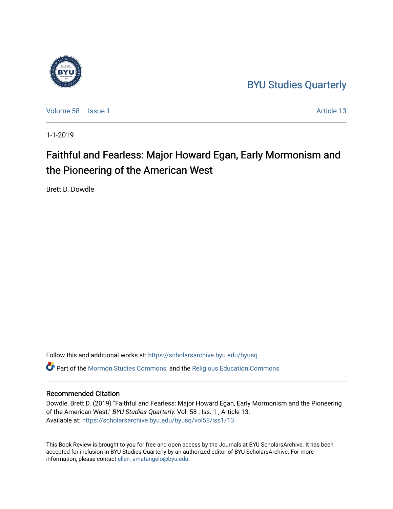## [BYU Studies Quarterly](https://scholarsarchive.byu.edu/byusq)

[Volume 58](https://scholarsarchive.byu.edu/byusq/vol58) | [Issue 1](https://scholarsarchive.byu.edu/byusq/vol58/iss1) Article 13

1-1-2019

# Faithful and Fearless: Major Howard Egan, Early Mormonism and the Pioneering of the American West

Brett D. Dowdle

Follow this and additional works at: [https://scholarsarchive.byu.edu/byusq](https://scholarsarchive.byu.edu/byusq?utm_source=scholarsarchive.byu.edu%2Fbyusq%2Fvol58%2Fiss1%2F13&utm_medium=PDF&utm_campaign=PDFCoverPages) 

Part of the [Mormon Studies Commons](http://network.bepress.com/hgg/discipline/1360?utm_source=scholarsarchive.byu.edu%2Fbyusq%2Fvol58%2Fiss1%2F13&utm_medium=PDF&utm_campaign=PDFCoverPages), and the [Religious Education Commons](http://network.bepress.com/hgg/discipline/1414?utm_source=scholarsarchive.byu.edu%2Fbyusq%2Fvol58%2Fiss1%2F13&utm_medium=PDF&utm_campaign=PDFCoverPages) 

### Recommended Citation

Dowdle, Brett D. (2019) "Faithful and Fearless: Major Howard Egan, Early Mormonism and the Pioneering of the American West," BYU Studies Quarterly: Vol. 58 : Iss. 1 , Article 13. Available at: [https://scholarsarchive.byu.edu/byusq/vol58/iss1/13](https://scholarsarchive.byu.edu/byusq/vol58/iss1/13?utm_source=scholarsarchive.byu.edu%2Fbyusq%2Fvol58%2Fiss1%2F13&utm_medium=PDF&utm_campaign=PDFCoverPages) 

This Book Review is brought to you for free and open access by the Journals at BYU ScholarsArchive. It has been accepted for inclusion in BYU Studies Quarterly by an authorized editor of BYU ScholarsArchive. For more information, please contact [ellen\\_amatangelo@byu.edu.](mailto:ellen_amatangelo@byu.edu)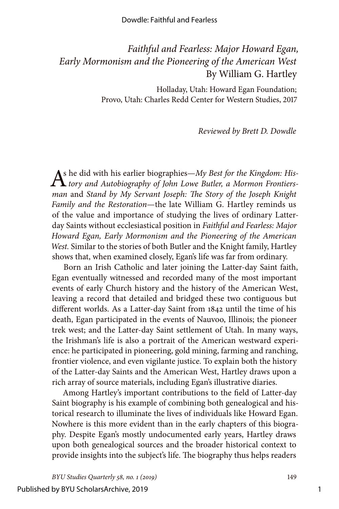#### Dowdle: Faithful and Fearless

### *Faithful and Fearless: Major Howard Egan, Early Mormonism and the Pioneering of the American West* By William G. Hartley

Holladay, Utah: Howard Egan Foundation; Provo, Utah: Charles Redd Center for Western Studies, 2017

#### *Reviewed by Brett D. Dowdle*

As he did with his earlier biographies—*My Best for the Kingdom: His tory and Autobiography of John Lowe Butler, a Mormon Frontiersman* and *Stand by My Servant Joseph: The Story of the Joseph Knight Family and the Restoration*—the late William G. Hartley reminds us of the value and importance of studying the lives of ordinary Latterday Saints without ecclesiastical position in *Faithful and Fearless: Major Howard Egan, Early Mormonism and the Pioneering of the American West.* Similar to the stories of both Butler and the Knight family, Hartley shows that, when examined closely, Egan's life was far from ordinary.

Born an Irish Catholic and later joining the Latter-day Saint faith, Egan eventually witnessed and recorded many of the most important events of early Church history and the history of the American West, leaving a record that detailed and bridged these two contiguous but different worlds. As a Latter-day Saint from 1842 until the time of his death, Egan participated in the events of Nauvoo, Illinois; the pioneer trek west; and the Latter-day Saint settlement of Utah. In many ways, the Irishman's life is also a portrait of the American westward experience: he participated in pioneering, gold mining, farming and ranching, frontier violence, and even vigilante justice. To explain both the history of the Latter-day Saints and the American West, Hartley draws upon a rich array of source materials, including Egan's illustrative diaries.

Among Hartley's important contributions to the field of Latter-day Saint biography is his example of combining both genealogical and historical research to illuminate the lives of individuals like Howard Egan. Nowhere is this more evident than in the early chapters of this biography. Despite Egan's mostly undocumented early years, Hartley draws upon both genealogical sources and the broader historical context to provide insights into the subject's life. The biography thus helps readers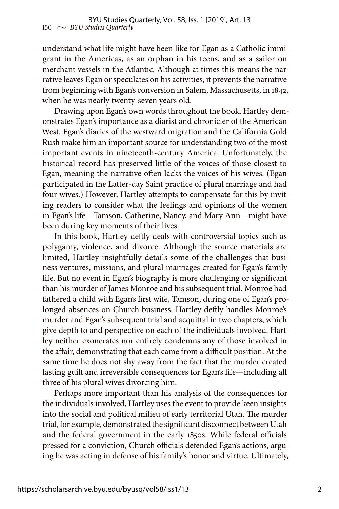understand what life might have been like for Egan as a Catholic immigrant in the Americas, as an orphan in his teens, and as a sailor on merchant vessels in the Atlantic. Although at times this means the narrative leaves Egan or speculates on his activities, it prevents the narrative from beginning with Egan's conversion in Salem, Massachusetts, in 1842, when he was nearly twenty-seven years old.

Drawing upon Egan's own words throughout the book, Hartley demonstrates Egan's importance as a diarist and chronicler of the American West. Egan's diaries of the westward migration and the California Gold Rush make him an important source for understanding two of the most important events in nineteenth-century America. Unfortunately, the historical record has preserved little of the voices of those closest to Egan, meaning the narrative often lacks the voices of his wives. (Egan participated in the Latter-day Saint practice of plural marriage and had four wives.) However, Hartley attempts to compensate for this by inviting readers to consider what the feelings and opinions of the women in Egan's life—Tamson, Catherine, Nancy, and Mary Ann—might have been during key moments of their lives.

In this book, Hartley deftly deals with controversial topics such as polygamy, violence, and divorce. Although the source materials are limited, Hartley insightfully details some of the challenges that business ventures, missions, and plural marriages created for Egan's family life. But no event in Egan's biography is more challenging or significant than his murder of James Monroe and his subsequent trial. Monroe had fathered a child with Egan's first wife, Tamson, during one of Egan's prolonged absences on Church business. Hartley deftly handles Monroe's murder and Egan's subsequent trial and acquittal in two chapters, which give depth to and perspective on each of the individuals involved. Hartley neither exonerates nor entirely condemns any of those involved in the affair, demonstrating that each came from a difficult position. At the same time he does not shy away from the fact that the murder created lasting guilt and irreversible consequences for Egan's life—including all three of his plural wives divorcing him.

Perhaps more important than his analysis of the consequences for the individuals involved, Hartley uses the event to provide keen insights into the social and political milieu of early territorial Utah. The murder trial, for example, demonstrated the significant disconnect between Utah and the federal government in the early 1850s. While federal officials pressed for a conviction, Church officials defended Egan's actions, arguing he was acting in defense of his family's honor and virtue. Ultimately,